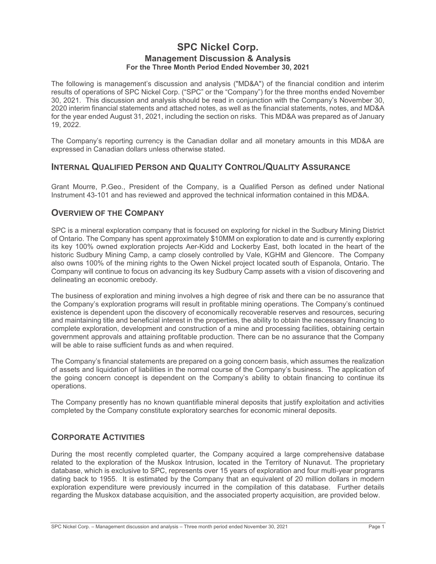# **SPC Nickel Corp. Management Discussion & Analysis For the Three Month Period Ended November 30, 2021**

The following is management's discussion and analysis ("MD&A") of the financial condition and interim results of operations of SPC Nickel Corp. ("SPC" or the "Company") for the three months ended November 30, 2021. This discussion and analysis should be read in conjunction with the Company's November 30, 2020 interim financial statements and attached notes, as well as the financial statements, notes, and MD&A for the year ended August 31, 2021, including the section on risks. This MD&A was prepared as of January 19, 2022.

The Company's reporting currency is the Canadian dollar and all monetary amounts in this MD&A are expressed in Canadian dollars unless otherwise stated.

# **INTERNAL QUALIFIED PERSON AND QUALITY CONTROL/QUALITY ASSURANCE**

Grant Mourre, P.Geo., President of the Company, is a Qualified Person as defined under National Instrument 43-101 and has reviewed and approved the technical information contained in this MD&A.

## **OVERVIEW OF THE COMPANY**

SPC is a mineral exploration company that is focused on exploring for nickel in the Sudbury Mining District of Ontario. The Company has spent approximately \$10MM on exploration to date and is currently exploring its key 100% owned exploration projects Aer-Kidd and Lockerby East, both located in the heart of the historic Sudbury Mining Camp, a camp closely controlled by Vale, KGHM and Glencore. The Company also owns 100% of the mining rights to the Owen Nickel project located south of Espanola, Ontario. The Company will continue to focus on advancing its key Sudbury Camp assets with a vision of discovering and delineating an economic orebody.

The business of exploration and mining involves a high degree of risk and there can be no assurance that the Company's exploration programs will result in profitable mining operations. The Company's continued existence is dependent upon the discovery of economically recoverable reserves and resources, securing and maintaining title and beneficial interest in the properties, the ability to obtain the necessary financing to complete exploration, development and construction of a mine and processing facilities, obtaining certain government approvals and attaining profitable production. There can be no assurance that the Company will be able to raise sufficient funds as and when required.

The Company's financial statements are prepared on a going concern basis, which assumes the realization of assets and liquidation of liabilities in the normal course of the Company's business. The application of the going concern concept is dependent on the Company's ability to obtain financing to continue its operations.

The Company presently has no known quantifiable mineral deposits that justify exploitation and activities completed by the Company constitute exploratory searches for economic mineral deposits.

# **CORPORATE ACTIVITIES**

During the most recently completed quarter, the Company acquired a large comprehensive database related to the exploration of the Muskox Intrusion, located in the Territory of Nunavut. The proprietary database, which is exclusive to SPC, represents over 15 years of exploration and four multi-year programs dating back to 1955. It is estimated by the Company that an equivalent of 20 million dollars in modern exploration expenditure were previously incurred in the compilation of this database. Further details regarding the Muskox database acquisition, and the associated property acquisition, are provided below.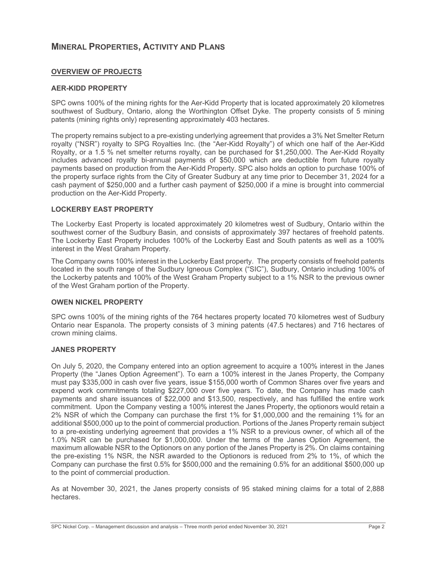# **MINERAL PROPERTIES, ACTIVITY AND PLANS**

## **OVERVIEW OF PROJECTS**

### **AER-KIDD PROPERTY**

SPC owns 100% of the mining rights for the Aer-Kidd Property that is located approximately 20 kilometres southwest of Sudbury, Ontario, along the Worthington Offset Dyke. The property consists of 5 mining patents (mining rights only) representing approximately 403 hectares.

The property remains subject to a pre-existing underlying agreement that provides a 3% Net Smelter Return royalty ("NSR") royalty to SPG Royalties Inc. (the "Aer-Kidd Royalty") of which one half of the Aer-Kidd Royalty, or a 1.5 % net smelter returns royalty, can be purchased for \$1,250,000. The Aer-Kidd Royalty includes advanced royalty bi-annual payments of \$50,000 which are deductible from future royalty payments based on production from the Aer-Kidd Property. SPC also holds an option to purchase 100% of the property surface rights from the City of Greater Sudbury at any time prior to December 31, 2024 for a cash payment of \$250,000 and a further cash payment of \$250,000 if a mine is brought into commercial production on the Aer-Kidd Property.

## **LOCKERBY EAST PROPERTY**

The Lockerby East Property is located approximately 20 kilometres west of Sudbury, Ontario within the southwest corner of the Sudbury Basin, and consists of approximately 397 hectares of freehold patents. The Lockerby East Property includes 100% of the Lockerby East and South patents as well as a 100% interest in the West Graham Property.

The Company owns 100% interest in the Lockerby East property. The property consists of freehold patents located in the south range of the Sudbury Igneous Complex ("SIC"), Sudbury, Ontario including 100% of the Lockerby patents and 100% of the West Graham Property subject to a 1% NSR to the previous owner of the West Graham portion of the Property.

### **OWEN NICKEL PROPERTY**

SPC owns 100% of the mining rights of the 764 hectares property located 70 kilometres west of Sudbury Ontario near Espanola. The property consists of 3 mining patents (47.5 hectares) and 716 hectares of crown mining claims.

## **JANES PROPERTY**

On July 5, 2020, the Company entered into an option agreement to acquire a 100% interest in the Janes Property (the "Janes Option Agreement"). To earn a 100% interest in the Janes Property, the Company must pay \$335,000 in cash over five years, issue \$155,000 worth of Common Shares over five years and expend work commitments totaling \$227,000 over five years. To date, the Company has made cash payments and share issuances of \$22,000 and \$13,500, respectively, and has fulfilled the entire work commitment. Upon the Company vesting a 100% interest the Janes Property, the optionors would retain a 2% NSR of which the Company can purchase the first 1% for \$1,000,000 and the remaining 1% for an additional \$500,000 up to the point of commercial production. Portions of the Janes Property remain subject to a pre-existing underlying agreement that provides a 1% NSR to a previous owner, of which all of the 1.0% NSR can be purchased for \$1,000,000. Under the terms of the Janes Option Agreement, the maximum allowable NSR to the Optionors on any portion of the Janes Property is 2%. On claims containing the pre-existing 1% NSR, the NSR awarded to the Optionors is reduced from 2% to 1%, of which the Company can purchase the first 0.5% for \$500,000 and the remaining 0.5% for an additional \$500,000 up to the point of commercial production.

As at November 30, 2021, the Janes property consists of 95 staked mining claims for a total of 2,888 hectares.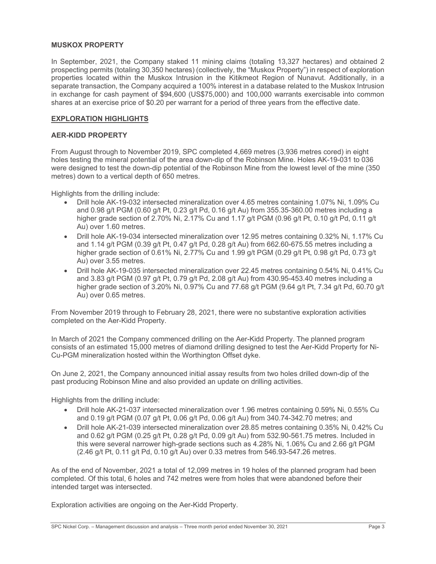## **MUSKOX PROPERTY**

In September, 2021, the Company staked 11 mining claims (totaling 13,327 hectares) and obtained 2 prospecting permits (totaling 30,350 hectares) (collectively, the "Muskox Property") in respect of exploration properties located within the Muskox Intrusion in the Kitikmeot Region of Nunavut. Additionally, in a separate transaction, the Company acquired a 100% interest in a database related to the Muskox Intrusion in exchange for cash payment of \$94,600 (US\$75,000) and 100,000 warrants exercisable into common shares at an exercise price of \$0.20 per warrant for a period of three years from the effective date.

## **EXPLORATION HIGHLIGHTS**

### **AER-KIDD PROPERTY**

From August through to November 2019, SPC completed 4,669 metres (3,936 metres cored) in eight holes testing the mineral potential of the area down-dip of the Robinson Mine. Holes AK-19-031 to 036 were designed to test the down-dip potential of the Robinson Mine from the lowest level of the mine (350 metres) down to a vertical depth of 650 metres.

Highlights from the drilling include:

- x Drill hole AK-19-032 intersected mineralization over 4.65 metres containing 1.07% Ni, 1.09% Cu and 0.98 g/t PGM (0.60 g/t Pt, 0.23 g/t Pd, 0.16 g/t Au) from 355.35-360.00 metres including a higher grade section of 2.70% Ni, 2.17% Cu and 1.17 g/t PGM (0.96 g/t Pt, 0.10 g/t Pd, 0.11 g/t Au) over 1.60 metres.
- x Drill hole AK-19-034 intersected mineralization over 12.95 metres containing 0.32% Ni, 1.17% Cu and 1.14 g/t PGM (0.39 g/t Pt, 0.47 g/t Pd, 0.28 g/t Au) from 662.60-675.55 metres including a higher grade section of 0.61% Ni, 2.77% Cu and 1.99 g/t PGM (0.29 g/t Pt, 0.98 g/t Pd, 0.73 g/t Au) over 3.55 metres.
- Drill hole AK-19-035 intersected mineralization over 22.45 metres containing 0.54% Ni, 0.41% Cu and 3.83 g/t PGM (0.97 g/t Pt, 0.79 g/t Pd, 2.08 g/t Au) from 430.95-453.40 metres including a higher grade section of 3.20% Ni, 0.97% Cu and 77.68 g/t PGM (9.64 g/t Pt, 7.34 g/t Pd, 60.70 g/t Au) over 0.65 metres.

From November 2019 through to February 28, 2021, there were no substantive exploration activities completed on the Aer-Kidd Property.

In March of 2021 the Company commenced drilling on the Aer-Kidd Property. The planned program consists of an estimated 15,000 metres of diamond drilling designed to test the Aer-Kidd Property for Ni-Cu-PGM mineralization hosted within the Worthington Offset dyke.

On June 2, 2021, the Company announced initial assay results from two holes drilled down-dip of the past producing Robinson Mine and also provided an update on drilling activities.

Highlights from the drilling include:

- x Drill hole AK-21-037 intersected mineralization over 1.96 metres containing 0.59% Ni, 0.55% Cu and 0.19 g/t PGM (0.07 g/t Pt, 0.06 g/t Pd, 0.06 g/t Au) from 340.74-342.70 metres; and
- Drill hole AK-21-039 intersected mineralization over 28.85 metres containing 0.35% Ni, 0.42% Cu and 0.62 g/t PGM (0.25 g/t Pt, 0.28 g/t Pd, 0.09 g/t Au) from 532.90-561.75 metres. Included in this were several narrower high-grade sections such as 4.28% Ni, 1.06% Cu and 2.66 g/t PGM (2.46 g/t Pt, 0.11 g/t Pd, 0.10 g/t Au) over 0.33 metres from 546.93-547.26 metres.

As of the end of November, 2021 a total of 12,099 metres in 19 holes of the planned program had been completed. Of this total, 6 holes and 742 metres were from holes that were abandoned before their intended target was intersected.

Exploration activities are ongoing on the Aer-Kidd Property.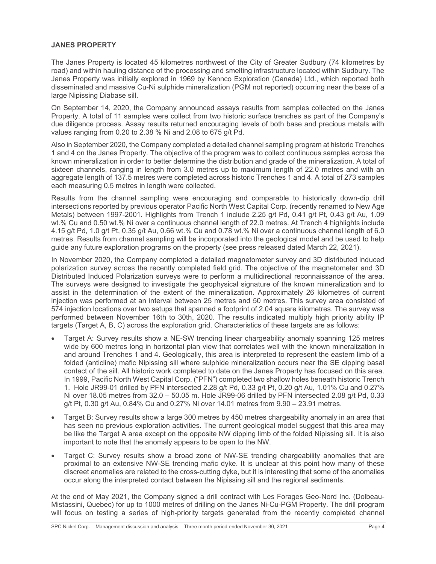## **JANES PROPERTY**

The Janes Property is located 45 kilometres northwest of the City of Greater Sudbury (74 kilometres by road) and within hauling distance of the processing and smelting infrastructure located within Sudbury. The Janes Property was initially explored in 1969 by Kennco Exploration (Canada) Ltd., which reported both disseminated and massive Cu-Ni sulphide mineralization (PGM not reported) occurring near the base of a large Nipissing Diabase sill.

On September 14, 2020, the Company announced assays results from samples collected on the Janes Property. A total of 11 samples were collect from two historic surface trenches as part of the Company's due diligence process. Assay results returned encouraging levels of both base and precious metals with values ranging from 0.20 to 2.38 % Ni and 2.08 to 675 g/t Pd.

Also in September 2020, the Company completed a detailed channel sampling program at historic Trenches 1 and 4 on the Janes Property. The objective of the program was to collect continuous samples across the known mineralization in order to better determine the distribution and grade of the mineralization. A total of sixteen channels, ranging in length from 3.0 metres up to maximum length of 22.0 metres and with an aggregate length of 137.5 metres were completed across historic Trenches 1 and 4. A total of 273 samples each measuring 0.5 metres in length were collected.

Results from the channel sampling were encouraging and comparable to historically down-dip drill intersections reported by previous operator Pacific North West Capital Corp. (recently renamed to New Age Metals) between 1997-2001. Highlights from Trench 1 include 2.25 g/t Pd, 0.41 g/t Pt, 0.43 g/t Au, 1.09 wt.% Cu and 0.50 wt.% Ni over a continuous channel length of 22.0 metres. At Trench 4 highlights include 4.15 g/t Pd, 1.0 g/t Pt, 0.35 g/t Au, 0.66 wt.% Cu and 0.78 wt.% Ni over a continuous channel length of 6.0 metres. Results from channel sampling will be incorporated into the geological model and be used to help guide any future exploration programs on the property (see press released dated March 22, 2021).

In November 2020, the Company completed a detailed magnetometer survey and 3D distributed induced polarization survey across the recently completed field grid. The objective of the magnetometer and 3D Distributed Induced Polarization surveys were to perform a multidirectional reconnaissance of the area. The surveys were designed to investigate the geophysical signature of the known mineralization and to assist in the determination of the extent of the mineralization. Approximately 26 kilometres of current injection was performed at an interval between 25 metres and 50 metres. This survey area consisted of 574 injection locations over two setups that spanned a footprint of 2.04 square kilometres. The survey was performed between November 16th to 30th, 2020. The results indicated multiply high priority ability IP targets (Target A, B, C) across the exploration grid. Characteristics of these targets are as follows:

- Target A: Survey results show a NE-SW trending linear chargeability anomaly spanning 125 metres wide by 600 metres long in horizontal plan view that correlates well with the known mineralization in and around Trenches 1 and 4. Geologically, this area is interpreted to represent the eastern limb of a folded (anticline) mafic Nipissing sill where sulphide mineralization occurs near the SE dipping basal contact of the sill. All historic work completed to date on the Janes Property has focused on this area. In 1999, Pacific North West Capital Corp. ("PFN") completed two shallow holes beneath historic Trench 1. Hole JR99-01 drilled by PFN intersected 2.28 g/t Pd, 0.33 g/t Pt, 0.20 g/t Au, 1.01% Cu and 0.27% Ni over 18.05 metres from 32.0 – 50.05 m. Hole JR99-06 drilled by PFN intersected 2.08 g/t Pd, 0.33 g/t Pt, 0.30 g/t Au, 0.84% Cu and 0.27% Ni over 14.01 metres from 9.90 – 23.91 metres.
- Target B: Survey results show a large 300 metres by 450 metres chargeability anomaly in an area that has seen no previous exploration activities. The current geological model suggest that this area may be like the Target A area except on the opposite NW dipping limb of the folded Nipissing sill. It is also important to note that the anomaly appears to be open to the NW.
- Target C: Survey results show a broad zone of NW-SE trending chargeability anomalies that are proximal to an extensive NW-SE trending mafic dyke. It is unclear at this point how many of these discreet anomalies are related to the cross-cutting dyke, but it is interesting that some of the anomalies occur along the interpreted contact between the Nipissing sill and the regional sediments.

At the end of May 2021, the Company signed a drill contract with Les Forages Geo-Nord Inc. (Dolbeau-Mistassini, Quebec) for up to 1000 metres of drilling on the Janes Ni-Cu-PGM Property. The drill program will focus on testing a series of high-priority targets generated from the recently completed channel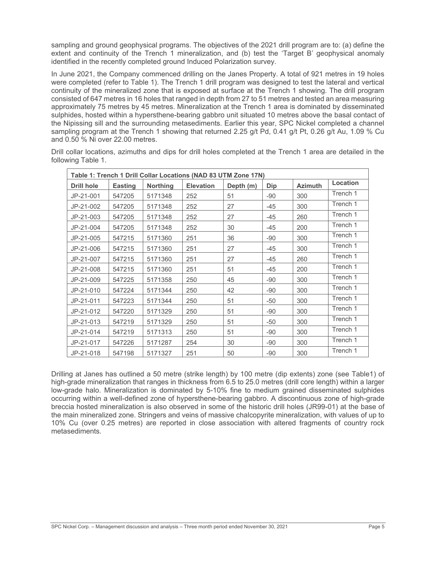sampling and ground geophysical programs. The objectives of the 2021 drill program are to: (a) define the extent and continuity of the Trench 1 mineralization, and (b) test the 'Target B' geophysical anomaly identified in the recently completed ground Induced Polarization survey.

In June 2021, the Company commenced drilling on the Janes Property. A total of 921 metres in 19 holes were completed (refer to Table 1). The Trench 1 drill program was designed to test the lateral and vertical continuity of the mineralized zone that is exposed at surface at the Trench 1 showing. The drill program consisted of 647 metres in 16 holes that ranged in depth from 27 to 51 metres and tested an area measuring approximately 75 metres by 45 metres. Mineralization at the Trench 1 area is dominated by disseminated sulphides, hosted within a hypersthene-bearing gabbro unit situated 10 metres above the basal contact of the Nipissing sill and the surrounding metasediments. Earlier this year, SPC Nickel completed a channel sampling program at the Trench 1 showing that returned 2.25 g/t Pd, 0.41 g/t Pt, 0.26 g/t Au, 1.09 % Cu and 0.50 % Ni over 22.00 metres.

| Table 1: Trench 1 Drill Collar Locations (NAD 83 UTM Zone 17N) |                |                 |                  |           |       |                |          |  |  |
|----------------------------------------------------------------|----------------|-----------------|------------------|-----------|-------|----------------|----------|--|--|
| <b>Drill hole</b>                                              | <b>Easting</b> | <b>Northing</b> | <b>Elevation</b> | Depth (m) | Dip   | <b>Azimuth</b> | Location |  |  |
| JP-21-001                                                      | 547205         | 5171348         | 252              | 51        | $-90$ | 300            | Trench 1 |  |  |
| JP-21-002                                                      | 547205         | 5171348         | 252              | 27        | $-45$ | 300            | Trench 1 |  |  |
| JP-21-003                                                      | 547205         | 5171348         | 252              | 27        | $-45$ | 260            | Trench 1 |  |  |
| JP-21-004                                                      | 547205         | 5171348         | 252              | 30        | $-45$ | 200            | Trench 1 |  |  |
| JP-21-005                                                      | 547215         | 5171360         | 251              | 36        | $-90$ | 300            | Trench 1 |  |  |
| JP-21-006                                                      | 547215         | 5171360         | 251              | 27        | $-45$ | 300            | Trench 1 |  |  |
| JP-21-007                                                      | 547215         | 5171360         | 251              | 27        | -45   | 260            | Trench 1 |  |  |
| JP-21-008                                                      | 547215         | 5171360         | 251              | 51        | $-45$ | 200            | Trench 1 |  |  |
| JP-21-009                                                      | 547225         | 5171358         | 250              | 45        | $-90$ | 300            | Trench 1 |  |  |
| JP-21-010                                                      | 547224         | 5171344         | 250              | 42        | $-90$ | 300            | Trench 1 |  |  |
| JP-21-011                                                      | 547223         | 5171344         | 250              | 51        | $-50$ | 300            | Trench 1 |  |  |
| JP-21-012                                                      | 547220         | 5171329         | 250              | 51        | $-90$ | 300            | Trench 1 |  |  |
| JP-21-013                                                      | 547219         | 5171329         | 250              | 51        | $-50$ | 300            | Trench 1 |  |  |
| JP-21-014                                                      | 547219         | 5171313         | 250              | 51        | $-90$ | 300            | Trench 1 |  |  |
| JP-21-017                                                      | 547226         | 5171287         | 254              | 30        | $-90$ | 300            | Trench 1 |  |  |
| JP-21-018                                                      | 547198         | 5171327         | 251              | 50        | $-90$ | 300            | Trench 1 |  |  |

Drill collar locations, azimuths and dips for drill holes completed at the Trench 1 area are detailed in the following Table 1.

Drilling at Janes has outlined a 50 metre (strike length) by 100 metre (dip extents) zone (see Table1) of high-grade mineralization that ranges in thickness from 6.5 to 25.0 metres (drill core length) within a larger low-grade halo. Mineralization is dominated by 5-10% fine to medium grained disseminated sulphides occurring within a well-defined zone of hypersthene-bearing gabbro. A discontinuous zone of high-grade breccia hosted mineralization is also observed in some of the historic drill holes (JR99-01) at the base of the main mineralized zone. Stringers and veins of massive chalcopyrite mineralization, with values of up to 10% Cu (over 0.25 metres) are reported in close association with altered fragments of country rock metasediments.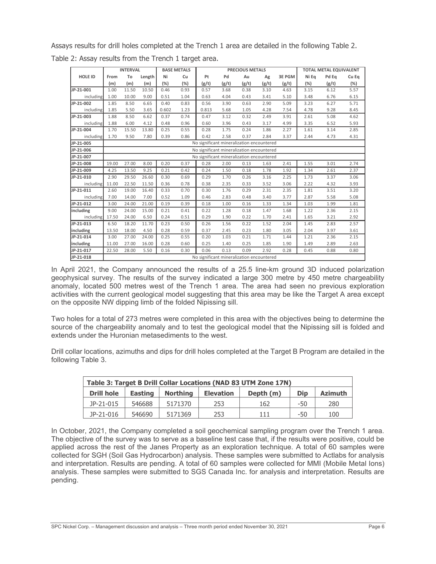Assays results for drill holes completed at the Trench 1 area are detailed in the following Table 2.

|                |                                           | <b>INTERVAL</b> |        |       | <b>BASE METALS</b> |                                           |       | <b>PRECIOUS METALS</b> |       |               |       | <b>TOTAL METAL EQUIVALENT</b> |       |
|----------------|-------------------------------------------|-----------------|--------|-------|--------------------|-------------------------------------------|-------|------------------------|-------|---------------|-------|-------------------------------|-------|
| <b>HOLE ID</b> | From                                      | To              | Length | Ni    | Cu                 | Pt                                        | Pd    | Au                     | Ag    | <b>3E PGM</b> | Ni Eq | Pd Eq                         | Cu Eq |
|                | (m)                                       | (m)             | (m)    | (% )  | (%)                | (g/t)                                     | (g/t) | (g/t)                  | (g/t) | (g/t)         | (%)   | (g/t)                         | (%)   |
| JP-21-001      | 1.00                                      | 11.50           | 10.50  | 0.46  | 0.93               | 0.57                                      | 3.68  | 0.38                   | 3.10  | 4.63          | 3.15  | 6.12                          | 5.57  |
| including      | 1.00                                      | 10.00           | 9.00   | 0.51  | 1.04               | 0.63                                      | 4.04  | 0.43                   | 3.41  | 5.10          | 3.48  | 6.76                          | 6.15  |
| JP-21-002      | 1.85                                      | 8.50            | 6.65   | 0.40  | 0.83               | 0.56                                      | 3.90  | 0.63                   | 2.90  | 5.09          | 3.23  | 6.27                          | 5.71  |
| including      | 1.85                                      | 5.50            | 3.65   | 0.602 | 1.23               | 0.813                                     | 5.68  | 1.05                   | 4.28  | 7.54          | 4.78  | 9.28                          | 8.45  |
| JP-21-003      | 1.88                                      | 8.50            | 6.62   | 0.37  | 0.74               | 0.47                                      | 3.12  | 0.32                   | 2.49  | 3.91          | 2.61  | 5.08                          | 4.62  |
| including      | 1.88                                      | 6.00            | 4.12   | 0.48  | 0.96               | 0.60                                      | 3.96  | 0.43                   | 3.17  | 4.99          | 3.35  | 6.52                          | 5.93  |
| JP-21-004      | 1.70                                      | 15.50           | 13.80  | 0.25  | 0.55               | 0.28                                      | 1.75  | 0.24                   | 1.86  | 2.27          | 1.61  | 3.14                          | 2.85  |
| including      | 1.70                                      | 9.50            | 7.80   | 0.39  | 0.86               | 0.42                                      | 2.58  | 0.37                   | 2.84  | 3.37          | 2.44  | 4.73                          | 4.31  |
| JP-21-005      | No significant mineralization encountered |                 |        |       |                    |                                           |       |                        |       |               |       |                               |       |
| JP-21-006      | No significant mineralization encountered |                 |        |       |                    |                                           |       |                        |       |               |       |                               |       |
| JP-21-007      | No significant mineralization encountered |                 |        |       |                    |                                           |       |                        |       |               |       |                               |       |
| JP-21-008      | 19.00                                     | 27.00           | 8.00   | 0.20  | 0.37               | 0.28                                      | 2.00  | 0.13                   | 1.63  | 2.41          | 1.55  | 3.01                          | 2.74  |
| JP-21-009      | 4.25                                      | 13.50           | 9.25   | 0.21  | 0.42               | 0.24                                      | 1.50  | 0.18                   | 1.78  | 1.92          | 1.34  | 2.61                          | 2.37  |
| JP-21-010      | 2.90                                      | 29.50           | 26.60  | 0.30  | 0.69               | 0.29                                      | 1.70  | 0.26                   | 3.16  | 2.25          | 1.73  | 3.37                          | 3.06  |
| including      | 11.00                                     | 22.50           | 11.50  | 0.36  | 0.78               | 0.38                                      | 2.35  | 0.33                   | 3.52  | 3.06          | 2.22  | 4.32                          | 3.93  |
| JP-21-011      | 2.60                                      | 19.00           | 16.40  | 0.33  | 0.70               | 0.30                                      | 1.76  | 0.29                   | 2.31  | 2.35          | 1.81  | 3.51                          | 3.20  |
| including      | 7.00                                      | 14.00           | 7.00   | 0.52  | 1.09               | 0.46                                      | 2.83  | 0.48                   | 3.40  | 3.77          | 2.87  | 5.58                          | 5.08  |
| JP-21-012      | 3.00                                      | 24.00           | 21.00  | 0.19  | 0.39               | 0.18                                      | 1.00  | 0.16                   | 1.33  | 1.34          | 1.03  | 1.99                          | 1.81  |
| including      | 9.00                                      | 24.00           | 15.00  | 0.21  | 0.41               | 0.22                                      | 1.28  | 0.18                   | 1.47  | 1.68          | 1.22  | 2.36                          | 2.15  |
| including      | 17.50                                     | 24.00           | 6.50   | 0.24  | 0.51               | 0.29                                      | 1.90  | 0.22                   | 1.70  | 2.41          | 1.65  | 3.21                          | 2.92  |
| JP-21-013      | 6.50                                      | 18.20           | 11.70  | 0.23  | 0.50               | 0.26                                      | 1.56  | 0.22                   | 1.52  | 2.04          | 1.45  | 2.83                          | 2.57  |
| including      | 13.50                                     | 18.00           | 4.50   | 0.28  | 0.59               | 0.37                                      | 2.45  | 0.23                   | 1.80  | 3.05          | 2.04  | 3.97                          | 3.61  |
| JP-21-014      | 3.00                                      | 27.00           | 24.00  | 0.25  | 0.55               | 0.20                                      | 1.03  | 0.21                   | 1.71  | 1.44          | 1.21  | 2.36                          | 2.15  |
| including      | 11.00                                     | 27.00           | 16.00  | 0.28  | 0.60               | 0.25                                      | 1.40  | 0.25                   | 1.85  | 1.90          | 1.49  | 2.89                          | 2.63  |
| JP-21-017      | 22.50                                     | 28.00           | 5.50   | 0.16  | 0.30               | 0.06                                      | 0.13  | 0.09                   | 2.92  | 0.28          | 0.45  | 0.88                          | 0.80  |
| JP-21-018      |                                           |                 |        |       |                    | No significant mineralization encountered |       |                        |       |               |       |                               |       |

Table 2: Assay results from the Trench 1 target area.

In April 2021, the Company announced the results of a 25.5 line-km ground 3D induced polarization geophysical survey. The results of the survey indicated a large 300 metre by 450 metre chargeability anomaly, located 500 metres west of the Trench 1 area. The area had seen no previous exploration activities with the current geological model suggesting that this area may be like the Target A area except on the opposite NW dipping limb of the folded Nipissing sill.

Two holes for a total of 273 metres were completed in this area with the objectives being to determine the source of the chargeability anomaly and to test the geological model that the Nipissing sill is folded and extends under the Huronian metasediments to the west.

Drill collar locations, azimuths and dips for drill holes completed at the Target B Program are detailed in the following Table 3.

| Table 3: Target B Drill Collar Locations (NAD 83 UTM Zone 17N) |                |           |            |                |       |     |  |  |  |
|----------------------------------------------------------------|----------------|-----------|------------|----------------|-------|-----|--|--|--|
| <b>Drill hole</b>                                              | <b>Easting</b> | Depth (m) | <b>Dip</b> | <b>Azimuth</b> |       |     |  |  |  |
| JP-21-015                                                      | 546688         | 5171370   | 253        | 162            | -50   | 280 |  |  |  |
| JP-21-016                                                      | 546690         | 5171369   | 253        | 111            | $-50$ | 100 |  |  |  |

In October, 2021, the Company completed a soil geochemical sampling program over the Trench 1 area. The objective of the survey was to serve as a baseline test case that, if the results were positive, could be applied across the rest of the Janes Property as an exploration technique. A total of 60 samples were collected for SGH (Soil Gas Hydrocarbon) analysis. These samples were submitted to Actlabs for analysis and interpretation. Results are pending. A total of 60 samples were collected for MMI (Mobile Metal Ions) analysis. These samples were submitted to SGS Canada Inc. for analysis and interpretation. Results are pending.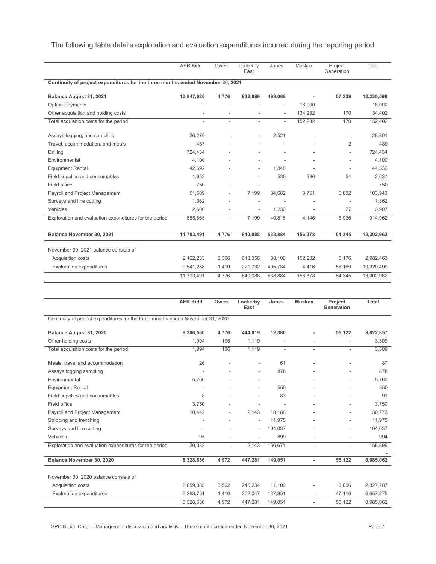The following table details exploration and evaluation expenditures incurred during the reporting period.

|                                                                                 | <b>AER Kidd</b>          | Owen                     | Lockerby<br>East         | Janes                    | Muskox  | Project<br>Generation | Total      |
|---------------------------------------------------------------------------------|--------------------------|--------------------------|--------------------------|--------------------------|---------|-----------------------|------------|
| Continuity of project expenditures for the three months ended November 30, 2021 |                          |                          |                          |                          |         |                       |            |
| Balance August 31, 2021                                                         | 10,847,626               | 4,776                    | 832,889                  | 493,068                  |         | 57,239                | 12,235,598 |
| <b>Option Payments</b>                                                          |                          |                          |                          |                          | 18,000  |                       | 18,000     |
| Other acquisition and holding costs                                             |                          |                          |                          |                          | 134,232 | 170                   | 134,402    |
| Total acquisition costs for the period                                          | $\overline{\phantom{a}}$ | $\overline{a}$           | $\overline{\phantom{a}}$ | $\overline{\phantom{0}}$ | 152,232 | 170                   | 152,402    |
| Assays logging, and sampling                                                    | 26,279                   |                          | $\overline{\phantom{0}}$ | 2,521                    |         |                       | 28.801     |
| Travel, accommodation, and meals                                                | 487                      |                          |                          |                          |         | 2                     | 489        |
| Drilling                                                                        | 724,434                  |                          |                          |                          |         |                       | 724,434    |
| Environmental                                                                   | 4,100                    |                          |                          |                          |         |                       | 4,100      |
| <b>Equipment Rental</b>                                                         | 42,692                   |                          | $\overline{\phantom{a}}$ | 1.848                    |         |                       | 44,539     |
| Field supplies and consumables                                                  | 1,652                    |                          | $\overline{\phantom{0}}$ | 535                      | 396     | 54                    | 2,637      |
| Field office                                                                    | 750                      |                          |                          |                          |         |                       | 750        |
| Payroll and Project Management                                                  | 51,509                   |                          | 7,199                    | 34,682                   | 3,751   | 6,802                 | 103,943    |
| Surveys and line cutting                                                        | 1,362                    |                          |                          |                          |         |                       | 1,362      |
| Vehicles                                                                        | 2.600                    |                          | $\overline{\phantom{a}}$ | 1,230                    |         | 77                    | 3,907      |
| Exploration and evaluation expenditures for the period                          | 855,865                  | $\overline{\phantom{0}}$ | 7,199                    | 40,816                   | 4,146   | 6,936                 | 914,962    |
| Balance November 30, 2021                                                       | 11,703,491               | 4,776                    | 840,088                  | 533,884                  | 156,378 | 64,345                | 13,302,962 |
| November 30, 2021 balance consists of                                           |                          |                          |                          |                          |         |                       |            |
| Acquisition costs                                                               | 2,162,233                | 3,366                    | 618.356                  | 38.100                   | 152,232 | 8.176                 | 2,982,463  |
| <b>Exploration expenditures</b>                                                 | 9,541,258                | 1,410                    | 221,732                  | 495,784                  | 4,416   | 56,169                | 10,320,499 |
|                                                                                 | 11,703,491               | 4,776                    | 840,088                  | 533,884                  | 156,378 | 64,345                | 13,302,962 |

|                                                                                 | <b>AER Kidd</b>          | Owen                     | Lockerby<br>East         | Janes                    | <b>Muskox</b>            | Project<br>Generation    | <b>Total</b> |
|---------------------------------------------------------------------------------|--------------------------|--------------------------|--------------------------|--------------------------|--------------------------|--------------------------|--------------|
| Continuity of project expenditures for the three months ended November 31, 2020 |                          |                          |                          |                          |                          |                          |              |
| Balance August 31, 2020                                                         | 8,306,560                | 4,776                    | 444,019                  | 12,380                   |                          | 55,122                   | 8,822,857    |
| Other holding costs                                                             | 1,994                    | 196                      | 1,119                    |                          |                          |                          | 3,309        |
| Total acquisition costs for the period                                          | 1,994                    | 196                      | 1,119                    | $\overline{\phantom{a}}$ | $\overline{\phantom{a}}$ | $\sim$                   | 3,309        |
| Meals, travel and accommodation                                                 | 26                       |                          | $\overline{a}$           | 61                       |                          |                          | 87           |
| Assays logging sampling                                                         |                          |                          | $\overline{\phantom{a}}$ | 878                      |                          |                          | 878          |
| Environmental                                                                   | 5,760                    |                          |                          | $\overline{\phantom{a}}$ |                          |                          | 5.760        |
| <b>Equipment Rental</b>                                                         |                          |                          | $\overline{a}$           | 550                      |                          |                          | 550          |
| Field supplies and consumables                                                  | 8                        |                          |                          | 83                       |                          |                          | 91           |
| Field office                                                                    | 3.750                    |                          |                          | $\overline{\phantom{a}}$ |                          |                          | 3,750        |
| Payroll and Project Management                                                  | 10,442                   |                          | 2,143                    | 18.188                   |                          |                          | 30,773       |
| Stripping and trenching                                                         |                          |                          | $\overline{a}$           | 11,975                   |                          |                          | 11,975       |
| Surveys and line cutting                                                        | $\overline{\phantom{a}}$ |                          | $\overline{\phantom{0}}$ | 104,037                  |                          |                          | 104,037      |
| Vehicles                                                                        | 95                       |                          | $\overline{\phantom{0}}$ | 899                      |                          |                          | 994          |
| Exploration and evaluation expenditures for the period                          | 20,082                   | $\overline{\phantom{0}}$ | 2,143                    | 136,671                  | $\overline{\phantom{a}}$ | $\overline{\phantom{a}}$ | 158,896      |
| Balance November 30, 2020                                                       | 8,328,636                | 4,972                    | 447,281                  | 149,051                  | $\overline{\phantom{a}}$ | 55,122                   | 8,985,062    |
| November 30, 2020 balance consists of                                           |                          |                          |                          |                          |                          |                          |              |
| Acquisition costs                                                               | 2,059,885                | 3,562                    | 245,234                  | 11,100                   |                          | 8,006                    | 2,327,787    |
| <b>Exploration expenditures</b>                                                 | 6,268,751                | 1,410                    | 202,047                  | 137,951                  | $\overline{\phantom{a}}$ | 47,116                   | 6,657,275    |
|                                                                                 | 8,328,636                | 4,972                    | 447,281                  | 149,051                  | $\overline{\phantom{a}}$ | 55,122                   | 8,985,062    |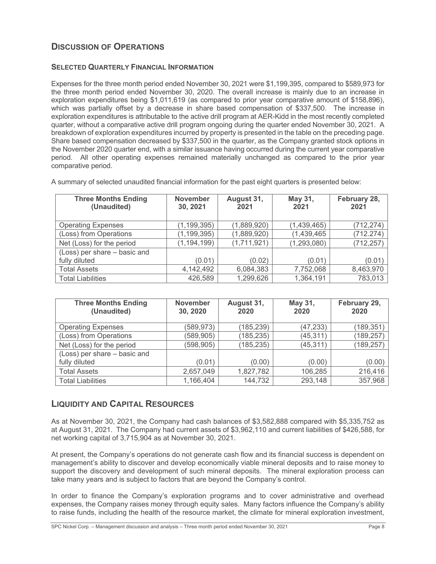# **DISCUSSION OF OPERATIONS**

## **SELECTED QUARTERLY FINANCIAL INFORMATION**

Expenses for the three month period ended November 30, 2021 were \$1,199,395, compared to \$589,973 for the three month period ended November 30, 2020. The overall increase is mainly due to an increase in exploration expenditures being \$1,011,619 (as compared to prior year comparative amount of \$158,896), which was partially offset by a decrease in share based compensation of \$337,500. The increase in exploration expenditures is attributable to the active drill program at AER-Kidd in the most recently completed quarter, without a comparative active drill program ongoing during the quarter ended November 30, 2021. A breakdown of exploration expenditures incurred by property is presented in the table on the preceding page. Share based compensation decreased by \$337,500 in the quarter, as the Company granted stock options in the November 2020 quarter end, with a similar issuance having occurred during the current year comparative period. All other operating expenses remained materially unchanged as compared to the prior year comparative period.

| <b>Three Months Ending</b><br>(Unaudited) | <b>November</b><br>30, 2021 | August 31,<br>2021 | May 31,<br>2021 | February 28,<br>2021 |
|-------------------------------------------|-----------------------------|--------------------|-----------------|----------------------|
| <b>Operating Expenses</b>                 | (1, 199, 395)               | (1,889,920)        | (1,439,465)     | (712, 274)           |
| (Loss) from Operations                    | (1, 199, 395)               | (1,889,920)        | (1,439,465)     | (712.274)            |
| Net (Loss) for the period                 | (1, 194, 199)               | (1,711,921)        | (1, 293, 080)   | (712, 257)           |
| (Loss) per share - basic and              |                             |                    |                 |                      |
| fully diluted                             | (0.01)                      | (0.02)             | (0.01)          | (0.01)               |
| <b>Total Assets</b>                       | 4,142,492                   | 6,084,383          | 7,752,068       | 8,463,970            |
| <b>Total Liabilities</b>                  | 426,589                     | 1,299,626          | 1,364,191       | 783,013              |

A summary of selected unaudited financial information for the past eight quarters is presented below:

| <b>Three Months Ending</b><br>(Unaudited) | <b>November</b><br>30, 2020 | August 31,<br>2020 | May 31,<br>2020 | February 29,<br>2020 |
|-------------------------------------------|-----------------------------|--------------------|-----------------|----------------------|
| <b>Operating Expenses</b>                 | (589, 973)                  | (185, 239)         | (47, 233)       | (189, 351)           |
| (Loss) from Operations                    | (589, 905)                  | (185, 235)         | (45, 311)       | (189, 257)           |
| Net (Loss) for the period                 | (598, 905)                  | (185, 235)         | (45, 311)       | (189, 257)           |
| (Loss) per share - basic and              |                             |                    |                 |                      |
| fully diluted                             | (0.01)                      | (0.00)             | (0.00)          | (0.00)               |
| <b>Total Assets</b>                       | 2,657,049                   | 1,827,782          | 106,285         | 216,416              |
| <b>Total Liabilities</b>                  | 1,166,404                   | 144,732            | 293,148         | 357,968              |

# **LIQUIDITY AND CAPITAL RESOURCES**

As at November 30, 2021, the Company had cash balances of \$3,582,888 compared with \$5,335,752 as at August 31, 2021. The Company had current assets of \$3,962,110 and current liabilities of \$426,588, for net working capital of 3,715,904 as at November 30, 2021.

At present, the Company's operations do not generate cash flow and its financial success is dependent on management's ability to discover and develop economically viable mineral deposits and to raise money to support the discovery and development of such mineral deposits. The mineral exploration process can take many years and is subject to factors that are beyond the Company's control.

In order to finance the Company's exploration programs and to cover administrative and overhead expenses, the Company raises money through equity sales. Many factors influence the Company's ability to raise funds, including the health of the resource market, the climate for mineral exploration investment,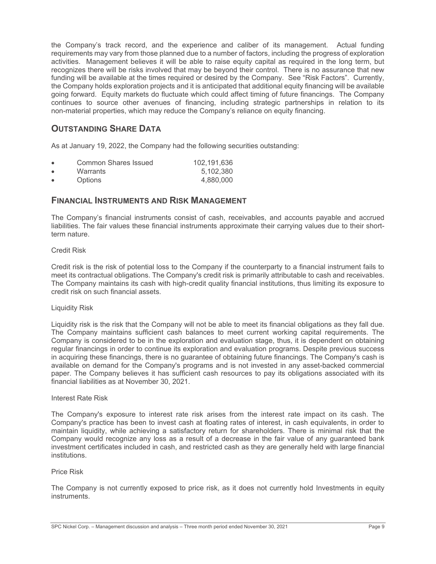the Company's track record, and the experience and caliber of its management. Actual funding requirements may vary from those planned due to a number of factors, including the progress of exploration activities. Management believes it will be able to raise equity capital as required in the long term, but recognizes there will be risks involved that may be beyond their control. There is no assurance that new funding will be available at the times required or desired by the Company. See "Risk Factors". Currently, the Company holds exploration projects and it is anticipated that additional equity financing will be available going forward. Equity markets do fluctuate which could affect timing of future financings. The Company continues to source other avenues of financing, including strategic partnerships in relation to its non-material properties, which may reduce the Company's reliance on equity financing.

# **OUTSTANDING SHARE DATA**

As at January 19, 2022, the Company had the following securities outstanding:

| Common Shares Issued | 102.191.636 |
|----------------------|-------------|
| Warrants             | 5.102.380   |
| <b>Options</b>       | 4.880.000   |

## **FINANCIAL INSTRUMENTS AND RISK MANAGEMENT**

The Company's financial instruments consist of cash, receivables, and accounts payable and accrued liabilities. The fair values these financial instruments approximate their carrying values due to their shortterm nature.

## Credit Risk

Credit risk is the risk of potential loss to the Company if the counterparty to a financial instrument fails to meet its contractual obligations. The Company's credit risk is primarily attributable to cash and receivables. The Company maintains its cash with high-credit quality financial institutions, thus limiting its exposure to credit risk on such financial assets.

### Liquidity Risk

Liquidity risk is the risk that the Company will not be able to meet its financial obligations as they fall due. The Company maintains sufficient cash balances to meet current working capital requirements. The Company is considered to be in the exploration and evaluation stage, thus, it is dependent on obtaining regular financings in order to continue its exploration and evaluation programs. Despite previous success in acquiring these financings, there is no guarantee of obtaining future financings. The Company's cash is available on demand for the Company's programs and is not invested in any asset-backed commercial paper. The Company believes it has sufficient cash resources to pay its obligations associated with its financial liabilities as at November 30, 2021.

### Interest Rate Risk

The Company's exposure to interest rate risk arises from the interest rate impact on its cash. The Company's practice has been to invest cash at floating rates of interest, in cash equivalents, in order to maintain liquidity, while achieving a satisfactory return for shareholders. There is minimal risk that the Company would recognize any loss as a result of a decrease in the fair value of any guaranteed bank investment certificates included in cash, and restricted cash as they are generally held with large financial institutions.

### Price Risk

The Company is not currently exposed to price risk, as it does not currently hold Investments in equity instruments.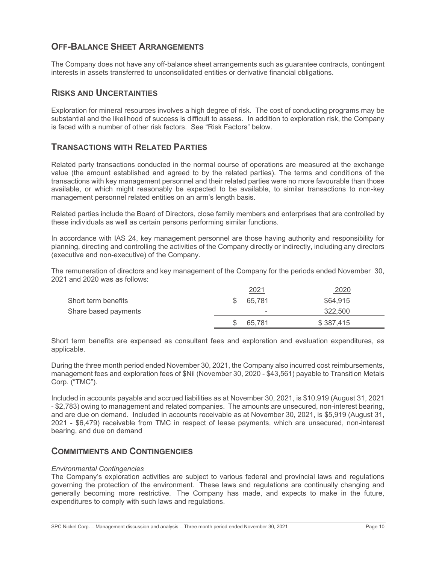# **OFF-BALANCE SHEET ARRANGEMENTS**

The Company does not have any off-balance sheet arrangements such as guarantee contracts, contingent interests in assets transferred to unconsolidated entities or derivative financial obligations.

## **RISKS AND UNCERTAINTIES**

Exploration for mineral resources involves a high degree of risk. The cost of conducting programs may be substantial and the likelihood of success is difficult to assess. In addition to exploration risk, the Company is faced with a number of other risk factors. See "Risk Factors" below.

# **TRANSACTIONS WITH RELATED PARTIES**

Related party transactions conducted in the normal course of operations are measured at the exchange value (the amount established and agreed to by the related parties). The terms and conditions of the transactions with key management personnel and their related parties were no more favourable than those available, or which might reasonably be expected to be available, to similar transactions to non-key management personnel related entities on an arm's length basis.

Related parties include the Board of Directors, close family members and enterprises that are controlled by these individuals as well as certain persons performing similar functions.

In accordance with IAS 24, key management personnel are those having authority and responsibility for planning, directing and controlling the activities of the Company directly or indirectly, including any directors (executive and non-executive) of the Company.

The remuneration of directors and key management of the Company for the periods ended November 30, 2021 and 2020 was as follows:

|                      | 2021                     | 2020      |  |
|----------------------|--------------------------|-----------|--|
| Short term benefits  | 65.781                   | \$64,915  |  |
| Share based payments | $\overline{\phantom{a}}$ | 322.500   |  |
|                      | 65.781                   | \$387,415 |  |

Short term benefits are expensed as consultant fees and exploration and evaluation expenditures, as applicable.

During the three month period ended November 30, 2021, the Company also incurred cost reimbursements, management fees and exploration fees of \$Nil (November 30, 2020 - \$43,561) payable to Transition Metals Corp. ("TMC").

Included in accounts payable and accrued liabilities as at November 30, 2021, is \$10,919 (August 31, 2021 - \$2,783) owing to management and related companies. The amounts are unsecured, non-interest bearing, and are due on demand. Included in accounts receivable as at November 30, 2021, is \$5,919 (August 31, 2021 - \$6,479) receivable from TMC in respect of lease payments, which are unsecured, non-interest bearing, and due on demand

## **COMMITMENTS AND CONTINGENCIES**

### *Environmental Contingencies*

The Company's exploration activities are subject to various federal and provincial laws and regulations governing the protection of the environment. These laws and regulations are continually changing and generally becoming more restrictive. The Company has made, and expects to make in the future, expenditures to comply with such laws and regulations.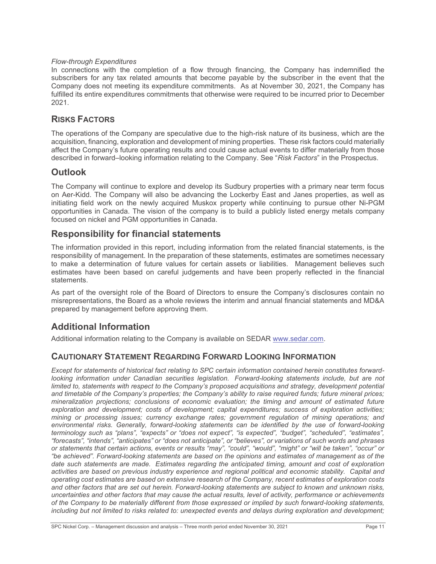## *Flow-through Expenditures*

In connections with the completion of a flow through financing, the Company has indemnified the subscribers for any tax related amounts that become payable by the subscriber in the event that the Company does not meeting its expenditure commitments. As at November 30, 2021, the Company has fulfilled its entire expenditures commitments that otherwise were required to be incurred prior to December 2021.

## **RISKS FACTORS**

The operations of the Company are speculative due to the high-risk nature of its business, which are the acquisition, financing, exploration and development of mining properties. These risk factors could materially affect the Company's future operating results and could cause actual events to differ materially from those described in forward–looking information relating to the Company. See "*Risk Factors*" in the Prospectus.

# **Outlook**

The Company will continue to explore and develop its Sudbury properties with a primary near term focus on Aer-Kidd. The Company will also be advancing the Lockerby East and Janes properties, as well as initiating field work on the newly acquired Muskox property while continuing to pursue other Ni-PGM opportunities in Canada. The vision of the company is to build a publicly listed energy metals company focused on nickel and PGM opportunities in Canada.

# **Responsibility for financial statements**

The information provided in this report, including information from the related financial statements, is the responsibility of management. In the preparation of these statements, estimates are sometimes necessary to make a determination of future values for certain assets or liabilities. Management believes such estimates have been based on careful judgements and have been properly reflected in the financial statements.

As part of the oversight role of the Board of Directors to ensure the Company's disclosures contain no misrepresentations, the Board as a whole reviews the interim and annual financial statements and MD&A prepared by management before approving them.

# **Additional Information**

Additional information relating to the Company is available on SEDAR www.sedar.com.

# **CAUTIONARY STATEMENT REGARDING FORWARD LOOKING INFORMATION**

*Except for statements of historical fact relating to SPC certain information contained herein constitutes forwardlooking information under Canadian securities legislation. Forward-looking statements include, but are not limited to, statements with respect to the Company's proposed acquisitions and strategy, development potential and timetable of the Company's properties; the Company's ability to raise required funds; future mineral prices; mineralization projections; conclusions of economic evaluation; the timing and amount of estimated future exploration and development; costs of development; capital expenditures; success of exploration activities; mining or processing issues; currency exchange rates; government regulation of mining operations; and environmental risks. Generally, forward-looking statements can be identified by the use of forward-looking terminology such as "plans", "expects" or "does not expect", "is expected", "budget", "scheduled", "estimates", "forecasts", "intends", "anticipates" or "does not anticipate", or "believes", or variations of such words and phrases or statements that certain actions, events or results "may", "could", "would", "might" or "will be taken", "occur" or "be achieved". Forward-looking statements are based on the opinions and estimates of management as of the date such statements are made. Estimates regarding the anticipated timing, amount and cost of exploration activities are based on previous industry experience and regional political and economic stability. Capital and operating cost estimates are based on extensive research of the Company, recent estimates of exploration costs and other factors that are set out herein. Forward-looking statements are subject to known and unknown risks, uncertainties and other factors that may cause the actual results, level of activity, performance or achievements of the Company to be materially different from those expressed or implied by such forward-looking statements, including but not limited to risks related to: unexpected events and delays during exploration and development;*